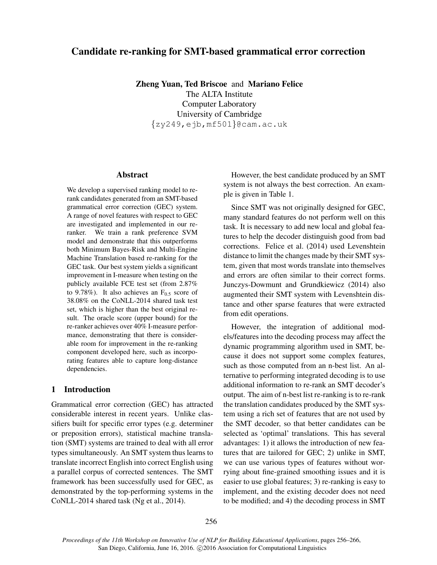# Candidate re-ranking for SMT-based grammatical error correction

Zheng Yuan, Ted Briscoe and Mariano Felice The ALTA Institute

Computer Laboratory University of Cambridge {zy249,ejb,mf501}@cam.ac.uk

### Abstract

We develop a supervised ranking model to rerank candidates generated from an SMT-based grammatical error correction (GEC) system. A range of novel features with respect to GEC are investigated and implemented in our reranker. We train a rank preference SVM model and demonstrate that this outperforms both Minimum Bayes-Risk and Multi-Engine Machine Translation based re-ranking for the GEC task. Our best system yields a significant improvement in I-measure when testing on the publicly available FCE test set (from 2.87% to 9.78%). It also achieves an  $F<sub>0.5</sub>$  score of 38.08% on the CoNLL-2014 shared task test set, which is higher than the best original result. The oracle score (upper bound) for the re-ranker achieves over 40% I-measure performance, demonstrating that there is considerable room for improvement in the re-ranking component developed here, such as incorporating features able to capture long-distance dependencies.

# 1 Introduction

Grammatical error correction (GEC) has attracted considerable interest in recent years. Unlike classifiers built for specific error types (e.g. determiner or preposition errors), statistical machine translation (SMT) systems are trained to deal with all error types simultaneously. An SMT system thus learns to translate incorrect English into correct English using a parallel corpus of corrected sentences. The SMT framework has been successfully used for GEC, as demonstrated by the top-performing systems in the CoNLL-2014 shared task (Ng et al., 2014).

However, the best candidate produced by an SMT system is not always the best correction. An example is given in Table 1.

Since SMT was not originally designed for GEC, many standard features do not perform well on this task. It is necessary to add new local and global features to help the decoder distinguish good from bad corrections. Felice et al. (2014) used Levenshtein distance to limit the changes made by their SMT system, given that most words translate into themselves and errors are often similar to their correct forms. Junczys-Dowmunt and Grundkiewicz (2014) also augmented their SMT system with Levenshtein distance and other sparse features that were extracted from edit operations.

However, the integration of additional models/features into the decoding process may affect the dynamic programming algorithm used in SMT, because it does not support some complex features, such as those computed from an n-best list. An alternative to performing integrated decoding is to use additional information to re-rank an SMT decoder's output. The aim of n-best list re-ranking is to re-rank the translation candidates produced by the SMT system using a rich set of features that are not used by the SMT decoder, so that better candidates can be selected as 'optimal' translations. This has several advantages: 1) it allows the introduction of new features that are tailored for GEC; 2) unlike in SMT, we can use various types of features without worrying about fine-grained smoothing issues and it is easier to use global features; 3) re-ranking is easy to implement, and the existing decoder does not need to be modified; and 4) the decoding process in SMT

*Proceedings of the 11th Workshop on Innovative Use of NLP for Building Educational Applications*, pages 256–266, San Diego, California, June 16, 2016. ©2016 Association for Computational Linguistics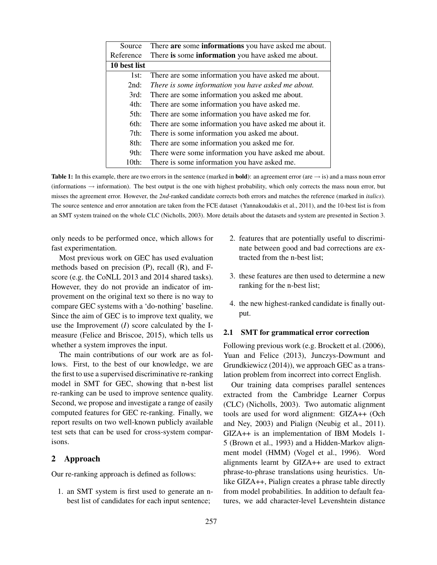| Source       | There are some informations you have asked me about.   |  |  |  |
|--------------|--------------------------------------------------------|--|--|--|
| Reference    | There is some information you have asked me about.     |  |  |  |
| 10 best list |                                                        |  |  |  |
| 1st:         | There are some information you have asked me about.    |  |  |  |
| 2nd:         | There is some information you have asked me about.     |  |  |  |
| 3rd:         | There are some information you asked me about.         |  |  |  |
| 4th:         | There are some information you have asked me.          |  |  |  |
| 5th:         | There are some information you have asked me for.      |  |  |  |
| 6th:         | There are some information you have asked me about it. |  |  |  |
| $7th$ :      | There is some information you asked me about.          |  |  |  |
| 8th:         | There are some information you asked me for.           |  |  |  |
| 9th:         | There were some information you have asked me about.   |  |  |  |
| $10th$ :     | There is some information you have asked me.           |  |  |  |

**Table 1:** In this example, there are two errors in the sentence (marked in **bold**): an agreement error (are  $\rightarrow$  is) and a mass noun error (informations  $\rightarrow$  information). The best output is the one with highest probability, which only corrects the mass noun error, but misses the agreement error. However, the *2nd*-ranked candidate corrects both errors and matches the reference (marked in *italics*). The source sentence and error annotation are taken from the FCE dataset (Yannakoudakis et al., 2011), and the 10-best list is from an SMT system trained on the whole CLC (Nicholls, 2003). More details about the datasets and system are presented in Section 3.

only needs to be performed once, which allows for fast experimentation.

Most previous work on GEC has used evaluation methods based on precision (P), recall (R), and Fscore (e.g. the CoNLL 2013 and 2014 shared tasks). However, they do not provide an indicator of improvement on the original text so there is no way to compare GEC systems with a 'do-nothing' baseline. Since the aim of GEC is to improve text quality, we use the Improvement (*I*) score calculated by the Imeasure (Felice and Briscoe, 2015), which tells us whether a system improves the input.

The main contributions of our work are as follows. First, to the best of our knowledge, we are the first to use a supervised discriminative re-ranking model in SMT for GEC, showing that n-best list re-ranking can be used to improve sentence quality. Second, we propose and investigate a range of easily computed features for GEC re-ranking. Finally, we report results on two well-known publicly available test sets that can be used for cross-system comparisons.

# 2 Approach

Our re-ranking approach is defined as follows:

1. an SMT system is first used to generate an nbest list of candidates for each input sentence;

- 2. features that are potentially useful to discriminate between good and bad corrections are extracted from the n-best list;
- 3. these features are then used to determine a new ranking for the n-best list;
- 4. the new highest-ranked candidate is finally output.

#### 2.1 SMT for grammatical error correction

Following previous work (e.g. Brockett et al. (2006), Yuan and Felice (2013), Junczys-Dowmunt and Grundkiewicz (2014)), we approach GEC as a translation problem from incorrect into correct English.

Our training data comprises parallel sentences extracted from the Cambridge Learner Corpus (CLC) (Nicholls, 2003). Two automatic alignment tools are used for word alignment: GIZA++ (Och and Ney, 2003) and Pialign (Neubig et al., 2011). GIZA++ is an implementation of IBM Models 1- 5 (Brown et al., 1993) and a Hidden-Markov alignment model (HMM) (Vogel et al., 1996). Word alignments learnt by GIZA++ are used to extract phrase-to-phrase translations using heuristics. Unlike GIZA++, Pialign creates a phrase table directly from model probabilities. In addition to default features, we add character-level Levenshtein distance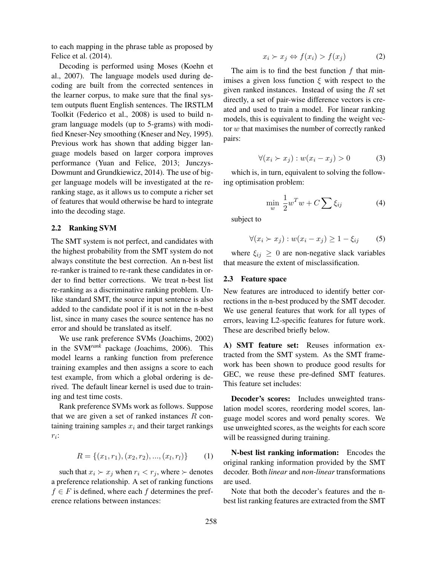to each mapping in the phrase table as proposed by Felice et al. (2014).

Decoding is performed using Moses (Koehn et al., 2007). The language models used during decoding are built from the corrected sentences in the learner corpus, to make sure that the final system outputs fluent English sentences. The IRSTLM Toolkit (Federico et al., 2008) is used to build ngram language models (up to 5-grams) with modified Kneser-Ney smoothing (Kneser and Ney, 1995). Previous work has shown that adding bigger language models based on larger corpora improves performance (Yuan and Felice, 2013; Junczys-Dowmunt and Grundkiewicz, 2014). The use of bigger language models will be investigated at the reranking stage, as it allows us to compute a richer set of features that would otherwise be hard to integrate into the decoding stage.

#### 2.2 Ranking SVM

The SMT system is not perfect, and candidates with the highest probability from the SMT system do not always constitute the best correction. An n-best list re-ranker is trained to re-rank these candidates in order to find better corrections. We treat n-best list re-ranking as a discriminative ranking problem. Unlike standard SMT, the source input sentence is also added to the candidate pool if it is not in the n-best list, since in many cases the source sentence has no error and should be translated as itself.

We use rank preference SVMs (Joachims, 2002) in the SVM*rank* package (Joachims, 2006). This model learns a ranking function from preference training examples and then assigns a score to each test example, from which a global ordering is derived. The default linear kernel is used due to training and test time costs.

Rank preference SVMs work as follows. Suppose that we are given a set of ranked instances  $R$  containing training samples  $x_i$  and their target rankings  $r_i$ :

$$
R = \{(x_1, r_1), (x_2, r_2), ..., (x_l, r_l)\}\tag{1}
$$

such that  $x_i \succ x_j$  when  $r_i < r_j$ , where  $\succ$  denotes a preference relationship. A set of ranking functions  $f \in F$  is defined, where each f determines the preference relations between instances:

$$
x_i \succ x_j \Leftrightarrow f(x_i) > f(x_j) \tag{2}
$$

The aim is to find the best function  $f$  that minimises a given loss function  $\xi$  with respect to the given ranked instances. Instead of using the  $R$  set directly, a set of pair-wise difference vectors is created and used to train a model. For linear ranking models, this is equivalent to finding the weight vector w that maximises the number of correctly ranked pairs:

$$
\forall (x_i \succ x_j) : w(x_i - x_j) > 0 \tag{3}
$$

which is, in turn, equivalent to solving the following optimisation problem:

$$
\min_{w} \frac{1}{2} w^T w + C \sum \xi_{ij} \tag{4}
$$

subject to

$$
\forall (x_i \succ x_j) : w(x_i - x_j) \ge 1 - \xi_{ij} \tag{5}
$$

where  $\xi_{ij} \geq 0$  are non-negative slack variables that measure the extent of misclassification.

### 2.3 Feature space

New features are introduced to identify better corrections in the n-best produced by the SMT decoder. We use general features that work for all types of errors, leaving L2-specific features for future work. These are described briefly below.

A) SMT feature set: Reuses information extracted from the SMT system. As the SMT framework has been shown to produce good results for GEC, we reuse these pre-defined SMT features. This feature set includes:

Decoder's scores: Includes unweighted translation model scores, reordering model scores, language model scores and word penalty scores. We use unweighted scores, as the weights for each score will be reassigned during training.

N-best list ranking information: Encodes the original ranking information provided by the SMT decoder. Both *linear* and *non-linear* transformations are used.

Note that both the decoder's features and the nbest list ranking features are extracted from the SMT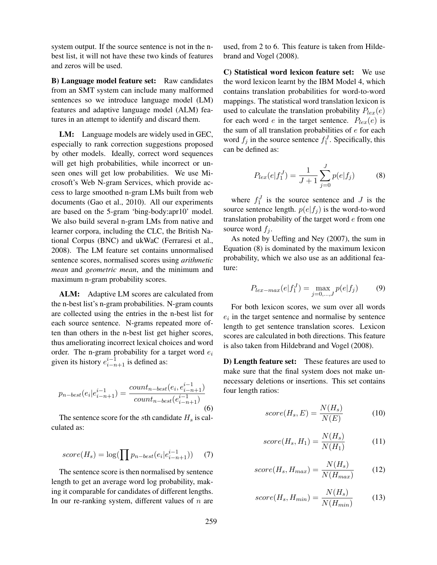system output. If the source sentence is not in the nbest list, it will not have these two kinds of features and zeros will be used.

**B) Language model feature set:** Raw candidates from an SMT system can include many malformed sentences so we introduce language model (LM) features and adaptive language model (ALM) features in an attempt to identify and discard them.

LM: Language models are widely used in GEC, especially to rank correction suggestions proposed by other models. Ideally, correct word sequences will get high probabilities, while incorrect or unseen ones will get low probabilities. We use Microsoft's Web N-gram Services, which provide access to large smoothed n-gram LMs built from web documents (Gao et al., 2010). All our experiments are based on the 5-gram 'bing-body:apr10' model. We also build several n-gram LMs from native and learner corpora, including the CLC, the British National Corpus (BNC) and ukWaC (Ferraresi et al., 2008). The LM feature set contains unnormalised sentence scores, normalised scores using *arithmetic mean* and *geometric mean*, and the minimum and maximum n-gram probability scores.

ALM: Adaptive LM scores are calculated from the n-best list's n-gram probabilities. N-gram counts are collected using the entries in the n-best list for each source sentence. N-grams repeated more often than others in the n-best list get higher scores, thus ameliorating incorrect lexical choices and word order. The n-gram probability for a target word  $e_i$ given its history  $e_{i-n+1}^{i-1}$  is defined as:

$$
p_{n-best}(e_i|e_{i-n+1}^{i-1}) = \frac{count_{n-best}(e_i, e_{i-n+1}^{i-1})}{count_{n-best}(e_{i-n+1}^{i-1})}
$$
(6)

The sentence score for the sth candidate  $H_s$  is calculated as:

$$
score(H_s) = \log(\prod p_{n-best}(e_i|e_{i-n+1}^{i-1})) \quad (7)
$$

The sentence score is then normalised by sentence length to get an average word log probability, making it comparable for candidates of different lengths. In our re-ranking system, different values of  $n$  are used, from 2 to 6. This feature is taken from Hildebrand and Vogel (2008).

C) Statistical word lexicon feature set: We use the word lexicon learnt by the IBM Model 4, which contains translation probabilities for word-to-word mappings. The statistical word translation lexicon is used to calculate the translation probability  $P_{lex}(e)$ for each word e in the target sentence.  $P_{lex}(e)$  is the sum of all translation probabilities of  $e$  for each word  $f_j$  in the source sentence  $f_1^J$ . Specifically, this can be defined as:

$$
P_{lex}(e|f_1^J) = \frac{1}{J+1} \sum_{j=0}^{J} p(e|f_j)
$$
 (8)

where  $f_1^J$  is the source sentence and J is the source sentence length.  $p(e|f_i)$  is the word-to-word translation probability of the target word  $e$  from one source word  $f_i$ .

As noted by Ueffing and Ney (2007), the sum in Equation (8) is dominated by the maximum lexicon probability, which we also use as an additional feature:

$$
P_{lex-max}(e|f_1^J) = \max_{j=0,\dots,J} p(e|f_j)
$$
 (9)

For both lexicon scores, we sum over all words  $e_i$  in the target sentence and normalise by sentence length to get sentence translation scores. Lexicon scores are calculated in both directions. This feature is also taken from Hildebrand and Vogel (2008).

D) Length feature set: These features are used to make sure that the final system does not make unnecessary deletions or insertions. This set contains four length ratios:

$$
score(H_s, E) = \frac{N(H_s)}{N(E)}\tag{10}
$$

$$
score(H_s, H_1) = \frac{N(H_s)}{N(H_1)}
$$
(11)

$$
score(H_s, H_{max}) = \frac{N(H_s)}{N(H_{max})}
$$
 (12)

$$
score(H_s, H_{min}) = \frac{N(H_s)}{N(H_{min})}
$$
(13)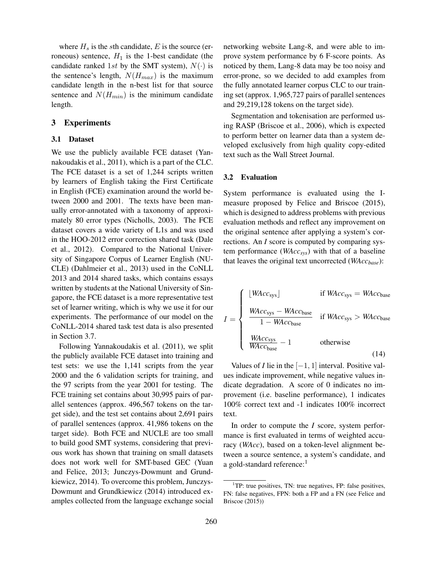where  $H_s$  is the sth candidate, E is the source (erroneous) sentence,  $H_1$  is the 1-best candidate (the candidate ranked 1st by the SMT system),  $N(\cdot)$  is the sentence's length,  $N(H_{max})$  is the maximum candidate length in the n-best list for that source sentence and  $N(H_{min})$  is the minimum candidate length.

# 3 Experiments

#### 3.1 Dataset

We use the publicly available FCE dataset (Yannakoudakis et al., 2011), which is a part of the CLC. The FCE dataset is a set of 1,244 scripts written by learners of English taking the First Certificate in English (FCE) examination around the world between 2000 and 2001. The texts have been manually error-annotated with a taxonomy of approximately 80 error types (Nicholls, 2003). The FCE dataset covers a wide variety of L1s and was used in the HOO-2012 error correction shared task (Dale et al., 2012). Compared to the National University of Singapore Corpus of Learner English (NU-CLE) (Dahlmeier et al., 2013) used in the CoNLL 2013 and 2014 shared tasks, which contains essays written by students at the National University of Singapore, the FCE dataset is a more representative test set of learner writing, which is why we use it for our experiments. The performance of our model on the CoNLL-2014 shared task test data is also presented in Section 3.7.

Following Yannakoudakis et al. (2011), we split the publicly available FCE dataset into training and test sets: we use the 1,141 scripts from the year 2000 and the 6 validation scripts for training, and the 97 scripts from the year 2001 for testing. The FCE training set contains about 30,995 pairs of parallel sentences (approx. 496,567 tokens on the target side), and the test set contains about 2,691 pairs of parallel sentences (approx. 41,986 tokens on the target side). Both FCE and NUCLE are too small to build good SMT systems, considering that previous work has shown that training on small datasets does not work well for SMT-based GEC (Yuan and Felice, 2013; Junczys-Dowmunt and Grundkiewicz, 2014). To overcome this problem, Junczys-Dowmunt and Grundkiewicz (2014) introduced examples collected from the language exchange social networking website Lang-8, and were able to improve system performance by 6 F-score points. As noticed by them, Lang-8 data may be too noisy and error-prone, so we decided to add examples from the fully annotated learner corpus CLC to our training set (approx. 1,965,727 pairs of parallel sentences and 29,219,128 tokens on the target side).

Segmentation and tokenisation are performed using RASP (Briscoe et al., 2006), which is expected to perform better on learner data than a system developed exclusively from high quality copy-edited text such as the Wall Street Journal.

### 3.2 Evaluation

System performance is evaluated using the Imeasure proposed by Felice and Briscoe (2015), which is designed to address problems with previous evaluation methods and reflect any improvement on the original sentence after applying a system's corrections. An *I* score is computed by comparing system performance (*WAccsys*) with that of a baseline that leaves the original text uncorrected (*WAccbase*):

$$
I = \begin{cases} \lfloor WAcc_{sys} \rfloor & \text{if } WAcc_{sys} = WAcc_{base} \\ \frac{WAcc_{sys} - WAcc_{base}}{1 - WAcc_{base}} & \text{if } WAcc_{sys} > WAcc_{base} \\ \frac{WAcc_{sys}}{WAcc_{base}} - 1 & \text{otherwise} \end{cases}
$$
(14)

Values of *I* lie in the  $[-1, 1]$  interval. Positive values indicate improvement, while negative values indicate degradation. A score of 0 indicates no improvement (i.e. baseline performance), 1 indicates 100% correct text and -1 indicates 100% incorrect text.

In order to compute the *I* score, system performance is first evaluated in terms of weighted accuracy (*WAcc*), based on a token-level alignment between a source sentence, a system's candidate, and a gold-standard reference:<sup>1</sup>

<sup>&</sup>lt;sup>1</sup>TP: true positives, TN: true negatives, FP: false positives, FN: false negatives, FPN: both a FP and a FN (see Felice and Briscoe (2015))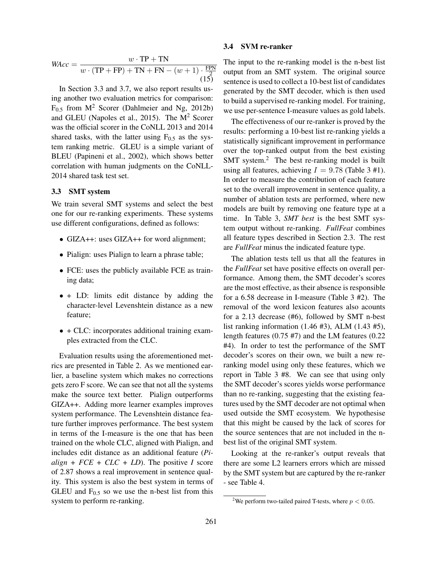$$
WAcc = \frac{w \cdot \text{TP} + \text{TN}}{w \cdot (\text{TP} + \text{FP}) + \text{TN} + \text{FN} - (w+1) \cdot \frac{\text{FPN}}{2}}(15)
$$

In Section 3.3 and 3.7, we also report results using another two evaluation metrics for comparison:  $F_{0.5}$  from  $M^2$  Scorer (Dahlmeier and Ng, 2012b) and GLEU (Napoles et al., 2015). The  $M<sup>2</sup>$  Scorer was the official scorer in the CoNLL 2013 and 2014 shared tasks, with the latter using  $F_{0.5}$  as the system ranking metric. GLEU is a simple variant of BLEU (Papineni et al., 2002), which shows better correlation with human judgments on the CoNLL-2014 shared task test set.

#### 3.3 SMT system

We train several SMT systems and select the best one for our re-ranking experiments. These systems use different configurations, defined as follows:

- GIZA++: uses GIZA++ for word alignment;
- Pialign: uses Pialign to learn a phrase table;
- FCE: uses the publicly available FCE as training data;
- + LD: limits edit distance by adding the character-level Levenshtein distance as a new feature;
- + CLC: incorporates additional training examples extracted from the CLC.

Evaluation results using the aforementioned metrics are presented in Table 2. As we mentioned earlier, a baseline system which makes no corrections gets zero F score. We can see that not all the systems make the source text better. Pialign outperforms GIZA++. Adding more learner examples improves system performance. The Levenshtein distance feature further improves performance. The best system in terms of the I-measure is the one that has been trained on the whole CLC, aligned with Pialign, and includes edit distance as an additional feature (*Pi* $align + FCE + CLC + LD$ . The positive *I* score of 2.87 shows a real improvement in sentence quality. This system is also the best system in terms of GLEU and  $F_{0.5}$  so we use the n-best list from this system to perform re-ranking.

### 3.4 SVM re-ranker

The input to the re-ranking model is the n-best list output from an SMT system. The original source sentence is used to collect a 10-best list of candidates generated by the SMT decoder, which is then used to build a supervised re-ranking model. For training, we use per-sentence I-measure values as gold labels.

The effectiveness of our re-ranker is proved by the results: performing a 10-best list re-ranking yields a statistically significant improvement in performance over the top-ranked output from the best existing SMT system. $<sup>2</sup>$  The best re-ranking model is built</sup> using all features, achieving  $I = 9.78$  (Table 3 #1). In order to measure the contribution of each feature set to the overall improvement in sentence quality, a number of ablation tests are performed, where new models are built by removing one feature type at a time. In Table 3, *SMT best* is the best SMT system output without re-ranking. *FullFeat* combines all feature types described in Section 2.3. The rest are *FullFeat* minus the indicated feature type.

The ablation tests tell us that all the features in the *FullFeat* set have positive effects on overall performance. Among them, the SMT decoder's scores are the most effective, as their absence is responsible for a 6.58 decrease in I-measure (Table 3 #2). The removal of the word lexicon features also acounts for a 2.13 decrease (#6), followed by SMT n-best list ranking information (1.46 #3), ALM (1.43 #5), length features (0.75 #7) and the LM features (0.22 #4). In order to test the performance of the SMT decoder's scores on their own, we built a new reranking model using only these features, which we report in Table 3 #8. We can see that using only the SMT decoder's scores yields worse performance than no re-ranking, suggesting that the existing features used by the SMT decoder are not optimal when used outside the SMT ecosystem. We hypothesise that this might be caused by the lack of scores for the source sentences that are not included in the nbest list of the original SMT system.

Looking at the re-ranker's output reveals that there are some L2 learners errors which are missed by the SMT system but are captured by the re-ranker - see Table 4.

<sup>&</sup>lt;sup>2</sup>We perform two-tailed paired T-tests, where  $p < 0.05$ .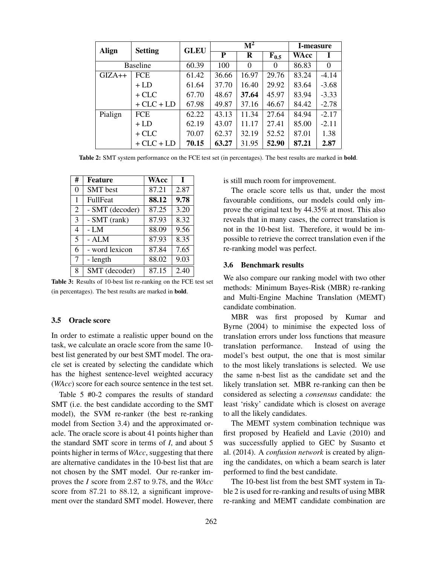| Align           | <b>Setting</b> | <b>GLEU</b> | $\overline{\mathrm{M}^2}$ |          |           | <b>I-measure</b> |          |
|-----------------|----------------|-------------|---------------------------|----------|-----------|------------------|----------|
|                 |                |             | ${\bf P}$                 | R        | $F_{0.5}$ | WAcc             | L        |
| <b>Baseline</b> |                | 60.39       | 100                       | $\Omega$ | $\Omega$  | 86.83            | $\theta$ |
| $GIZA++$        | <b>FCE</b>     | 61.42       | 36.66                     | 16.97    | 29.76     | 83.24            | $-4.14$  |
|                 | $+LD$          | 61.64       | 37.70                     | 16.40    | 29.92     | 83.64            | $-3.68$  |
|                 | $+CLC$         | 67.70       | 48.67                     | 37.64    | 45.97     | 83.94            | $-3.33$  |
|                 | $+CLC + LD$    | 67.98       | 49.87                     | 37.16    | 46.67     | 84.42            | $-2.78$  |
| Pialign         | <b>FCE</b>     | 62.22       | 43.13                     | 11.34    | 27.64     | 84.94            | $-2.17$  |
|                 | $+LD$          | 62.19       | 43.07                     | 11.17    | 27.41     | 85.00            | $-2.11$  |
|                 | $+CLC$         | 70.07       | 62.37                     | 32.19    | 52.52     | 87.01            | 1.38     |
|                 | $+CLC + LD$    | 70.15       | 63.27                     | 31.95    | 52.90     | 87.21            | 2.87     |

Table 2: SMT system performance on the FCE test set (in percentages). The best results are marked in **bold**.

| #              | Feature         | WAcc  | $\mathbf I$ |
|----------------|-----------------|-------|-------------|
| $\theta$       | <b>SMT</b> best | 87.21 | 2.87        |
| 1              | <b>FullFeat</b> | 88.12 | 9.78        |
| $\overline{2}$ | - SMT (decoder) | 87.25 | 3.20        |
| 3              | $-SMT$ (rank)   | 87.93 | 8.32        |
| $\overline{4}$ | $-LM$           | 88.09 | 9.56        |
| 5              | - ALM           | 87.93 | 8.35        |
| 6              | - word lexicon  | 87.84 | 7.65        |
| 7              | - length        | 88.02 | 9.03        |
| 8              | SMT (decoder)   | 87.15 | 2.40        |

Table 3: Results of 10-best list re-ranking on the FCE test set (in percentages). The best results are marked in bold.

#### 3.5 Oracle score

In order to estimate a realistic upper bound on the task, we calculate an oracle score from the same 10 best list generated by our best SMT model. The oracle set is created by selecting the candidate which has the highest sentence-level weighted accuracy (*WAcc*) score for each source sentence in the test set.

Table 5 #0-2 compares the results of standard SMT (i.e. the best candidate according to the SMT model), the SVM re-ranker (the best re-ranking model from Section 3.4) and the approximated oracle. The oracle score is about 41 points higher than the standard SMT score in terms of *I*, and about 5 points higher in terms of *WAcc*, suggesting that there are alternative candidates in the 10-best list that are not chosen by the SMT model. Our re-ranker improves the *I* score from 2.87 to 9.78, and the *WAcc* score from 87.21 to 88.12, a significant improvement over the standard SMT model. However, there is still much room for improvement.

The oracle score tells us that, under the most favourable conditions, our models could only improve the original text by 44.35% at most. This also reveals that in many cases, the correct translation is not in the 10-best list. Therefore, it would be impossible to retrieve the correct translation even if the re-ranking model was perfect.

#### 3.6 Benchmark results

We also compare our ranking model with two other methods: Minimum Bayes-Risk (MBR) re-ranking and Multi-Engine Machine Translation (MEMT) candidate combination.

MBR was first proposed by Kumar and Byrne (2004) to minimise the expected loss of translation errors under loss functions that measure translation performance. Instead of using the model's best output, the one that is most similar to the most likely translations is selected. We use the same n-best list as the candidate set and the likely translation set. MBR re-ranking can then be considered as selecting a *consensus* candidate: the least 'risky' candidate which is closest on average to all the likely candidates.

The MEMT system combination technique was first proposed by Heafield and Lavie (2010) and was successfully applied to GEC by Susanto et al. (2014). A *confusion network* is created by aligning the candidates, on which a beam search is later performed to find the best candidate.

The 10-best list from the best SMT system in Table 2 is used for re-ranking and results of using MBR re-ranking and MEMT candidate combination are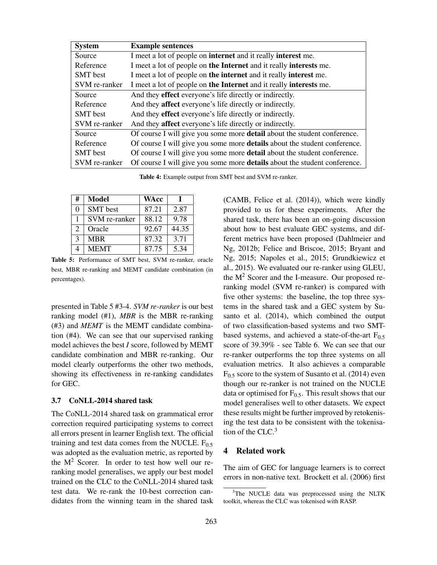| <b>System</b>   | <b>Example sentences</b>                                                        |
|-----------------|---------------------------------------------------------------------------------|
| Source          | I meet a lot of people on <b>internet</b> and it really <b>interest</b> me.     |
| Reference       | I meet a lot of people on the Internet and it really interests me.              |
| <b>SMT</b> best | I meet a lot of people on the internet and it really interest me.               |
| SVM re-ranker   | I meet a lot of people on the Internet and it really interests me.              |
| Source          | And they effect everyone's life directly or indirectly.                         |
| Reference       | And they affect everyone's life directly or indirectly.                         |
| <b>SMT</b> best | And they effect everyone's life directly or indirectly.                         |
| SVM re-ranker   | And they affect everyone's life directly or indirectly.                         |
| Source          | Of course I will give you some more <b>detail</b> about the student conference. |
| Reference       | Of course I will give you some more details about the student conference.       |
| <b>SMT</b> best | Of course I will give you some more <b>detail</b> about the student conference. |
| SVM re-ranker   | Of course I will give you some more details about the student conference.       |

Table 4: Example output from SMT best and SVM re-ranker.

| #                           | Model           | <b>WAcc</b> |       |
|-----------------------------|-----------------|-------------|-------|
| 0                           | <b>SMT</b> best | 87.21       | 2.87  |
|                             | SVM re-ranker   | 88.12       | 9.78  |
| $\mathcal{D}_{\mathcal{A}}$ | Oracle          | 92.67       | 44.35 |
| $\mathcal{E}$               | <b>MBR</b>      | 87.32       | 3.71  |
|                             | <b>MEMT</b>     | 87.75       | 5.34  |

Table 5: Performance of SMT best, SVM re-ranker, oracle best, MBR re-ranking and MEMT candidate combination (in percentages).

presented in Table 5 #3-4. *SVM re-ranker* is our best ranking model (#1), *MBR* is the MBR re-ranking (#3) and *MEMT* is the MEMT candidate combination (#4). We can see that our supervised ranking model achieves the best *I* score, followed by MEMT candidate combination and MBR re-ranking. Our model clearly outperforms the other two methods, showing its effectiveness in re-ranking candidates for GEC.

#### 3.7 CoNLL-2014 shared task

The CoNLL-2014 shared task on grammatical error correction required participating systems to correct all errors present in learner English text. The official training and test data comes from the NUCLE.  $F_{0.5}$ was adopted as the evaluation metric, as reported by the  $M<sup>2</sup>$  Scorer. In order to test how well our reranking model generalises, we apply our best model trained on the CLC to the CoNLL-2014 shared task test data. We re-rank the 10-best correction candidates from the winning team in the shared task

(CAMB, Felice et al. (2014)), which were kindly provided to us for these experiments. After the shared task, there has been an on-going discussion about how to best evaluate GEC systems, and different metrics have been proposed (Dahlmeier and Ng, 2012b; Felice and Briscoe, 2015; Bryant and Ng, 2015; Napoles et al., 2015; Grundkiewicz et al., 2015). We evaluated our re-ranker using GLEU, the M<sup>2</sup> Scorer and the I-measure. Our proposed reranking model (SVM re-ranker) is compared with five other systems: the baseline, the top three systems in the shared task and a GEC system by Susanto et al. (2014), which combined the output of two classification-based systems and two SMTbased systems, and achieved a state-of-the-art  $F_{0.5}$ score of 39.39% - see Table 6. We can see that our re-ranker outperforms the top three systems on all evaluation metrics. It also achieves a comparable  $F<sub>0.5</sub>$  score to the system of Susanto et al. (2014) even though our re-ranker is not trained on the NUCLE data or optimised for  $F_{0.5}$ . This result shows that our model generalises well to other datasets. We expect these results might be further improved by retokenising the test data to be consistent with the tokenisation of the CLC. $3$ 

# 4 Related work

The aim of GEC for language learners is to correct errors in non-native text. Brockett et al. (2006) first

<sup>&</sup>lt;sup>3</sup>The NUCLE data was preprocessed using the NLTK toolkit, whereas the CLC was tokenised with RASP.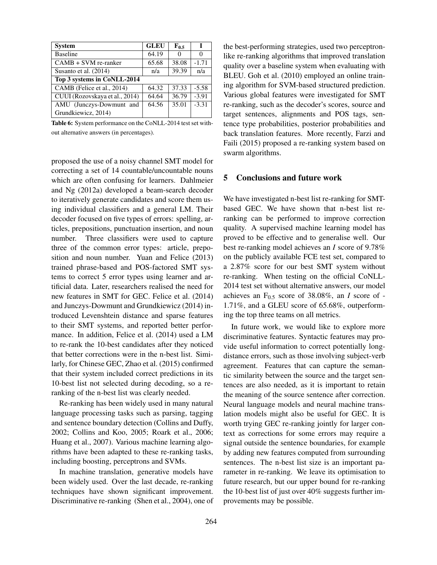| <b>System</b>                  | <b>GLEU</b> | $F_{0.5}$ |         |
|--------------------------------|-------------|-----------|---------|
| <b>Baseline</b>                | 64.19       | $\Omega$  | 0       |
| $CAMB + SVM$ re-ranker         | 65.68       | 38.08     | $-1.71$ |
| Susanto et al. (2014)          | n/a         | 39.39     | n/a     |
| Top 3 systems in CoNLL-2014    |             |           |         |
| CAMB (Felice et al., 2014)     | 64.32       | 37.33     | $-5.58$ |
| CUUI (Rozovskaya et al., 2014) | 64.64       | 36.79     | $-3.91$ |
| AMU (Junczys-Dowmunt and       | 64.56       | 35.01     | $-3.31$ |
| Grundkiewicz, 2014)            |             |           |         |

Table 6: System performance on the CoNLL-2014 test set without alternative answers (in percentages).

proposed the use of a noisy channel SMT model for correcting a set of 14 countable/uncountable nouns which are often confusing for learners. Dahlmeier and Ng (2012a) developed a beam-search decoder to iteratively generate candidates and score them using individual classifiers and a general LM. Their decoder focused on five types of errors: spelling, articles, prepositions, punctuation insertion, and noun number. Three classifiers were used to capture three of the common error types: article, preposition and noun number. Yuan and Felice (2013) trained phrase-based and POS-factored SMT systems to correct 5 error types using learner and artificial data. Later, researchers realised the need for new features in SMT for GEC. Felice et al. (2014) and Junczys-Dowmunt and Grundkiewicz (2014) introduced Levenshtein distance and sparse features to their SMT systems, and reported better performance. In addition, Felice et al. (2014) used a LM to re-rank the 10-best candidates after they noticed that better corrections were in the n-best list. Similarly, for Chinese GEC, Zhao et al. (2015) confirmed that their system included correct predictions in its 10-best list not selected during decoding, so a reranking of the n-best list was clearly needed.

Re-ranking has been widely used in many natural language processing tasks such as parsing, tagging and sentence boundary detection (Collins and Duffy, 2002; Collins and Koo, 2005; Roark et al., 2006; Huang et al., 2007). Various machine learning algorithms have been adapted to these re-ranking tasks, including boosting, perceptrons and SVMs.

In machine translation, generative models have been widely used. Over the last decade, re-ranking techniques have shown significant improvement. Discriminative re-ranking (Shen et al., 2004), one of the best-performing strategies, used two perceptronlike re-ranking algorithms that improved translation quality over a baseline system when evaluating with BLEU. Goh et al. (2010) employed an online training algorithm for SVM-based structured prediction. Various global features were investigated for SMT re-ranking, such as the decoder's scores, source and target sentences, alignments and POS tags, sentence type probabilities, posterior probabilities and back translation features. More recently, Farzi and Faili (2015) proposed a re-ranking system based on swarm algorithms.

# 5 Conclusions and future work

We have investigated n-best list re-ranking for SMTbased GEC. We have shown that n-best list reranking can be performed to improve correction quality. A supervised machine learning model has proved to be effective and to generalise well. Our best re-ranking model achieves an *I* score of 9.78% on the publicly available FCE test set, compared to a 2.87% score for our best SMT system without re-ranking. When testing on the official CoNLL-2014 test set without alternative answers, our model achieves an  $F_{0.5}$  score of 38.08%, an *I* score of -1.71%, and a GLEU score of 65.68%, outperforming the top three teams on all metrics.

In future work, we would like to explore more discriminative features. Syntactic features may provide useful information to correct potentially longdistance errors, such as those involving subject-verb agreement. Features that can capture the semantic similarity between the source and the target sentences are also needed, as it is important to retain the meaning of the source sentence after correction. Neural language models and neural machine translation models might also be useful for GEC. It is worth trying GEC re-ranking jointly for larger context as corrections for some errors may require a signal outside the sentence boundaries, for example by adding new features computed from surrounding sentences. The n-best list size is an important parameter in re-ranking. We leave its optimisation to future research, but our upper bound for re-ranking the 10-best list of just over 40% suggests further improvements may be possible.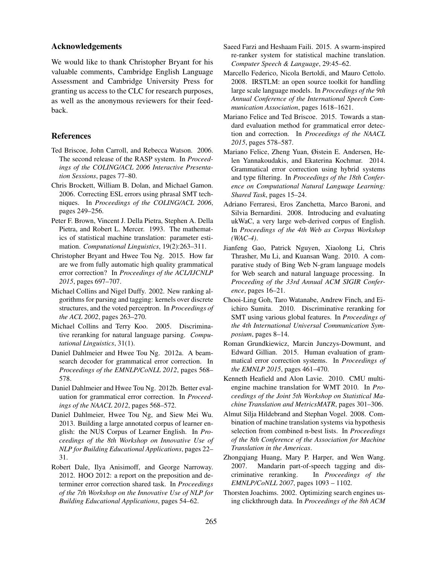# Acknowledgements

We would like to thank Christopher Bryant for his valuable comments, Cambridge English Language Assessment and Cambridge University Press for granting us access to the CLC for research purposes, as well as the anonymous reviewers for their feedback.

# References

- Ted Briscoe, John Carroll, and Rebecca Watson. 2006. The second release of the RASP system. In *Proceedings of the COLING/ACL 2006 Interactive Presentation Sessions*, pages 77–80.
- Chris Brockett, William B. Dolan, and Michael Gamon. 2006. Correcting ESL errors using phrasal SMT techniques. In *Proceedings of the COLING/ACL 2006*, pages 249–256.
- Peter F. Brown, Vincent J. Della Pietra, Stephen A. Della Pietra, and Robert L. Mercer. 1993. The mathematics of statistical machine translation: parameter estimation. *Computational Linguistics*, 19(2):263–311.
- Christopher Bryant and Hwee Tou Ng. 2015. How far are we from fully automatic high quality grammatical error correction? In *Proceedings of the ACL/IJCNLP 2015*, pages 697–707.
- Michael Collins and Nigel Duffy. 2002. New ranking algorithms for parsing and tagging: kernels over discrete structures, and the voted perceptron. In *Proceedings of the ACL 2002*, pages 263–270.
- Michael Collins and Terry Koo. 2005. Discriminative reranking for natural language parsing. *Computational Linguistics*, 31(1).
- Daniel Dahlmeier and Hwee Tou Ng. 2012a. A beamsearch decoder for grammatical error correction. In *Proceedings of the EMNLP/CoNLL 2012*, pages 568– 578.
- Daniel Dahlmeier and Hwee Tou Ng. 2012b. Better evaluation for grammatical error correction. In *Proceedings of the NAACL 2012*, pages 568–572.
- Daniel Dahlmeier, Hwee Tou Ng, and Siew Mei Wu. 2013. Building a large annotated corpus of learner english: the NUS Corpus of Learner English. In *Proceedings of the 8th Workshop on Innovative Use of NLP for Building Educational Applications*, pages 22– 31.
- Robert Dale, Ilya Anisimoff, and George Narroway. 2012. HOO 2012: a report on the preposition and determiner error correction shared task. In *Proceedings of the 7th Workshop on the Innovative Use of NLP for Building Educational Applications*, pages 54–62.
- Saeed Farzi and Heshaam Faili. 2015. A swarm-inspired re-ranker system for statistical machine translation. *Computer Speech & Language*, 29:45–62.
- Marcello Federico, Nicola Bertoldi, and Mauro Cettolo. 2008. IRSTLM: an open source toolkit for handling large scale language models. In *Proceedings of the 9th Annual Conference of the International Speech Communication Association*, pages 1618–1621.
- Mariano Felice and Ted Briscoe. 2015. Towards a standard evaluation method for grammatical error detection and correction. In *Proceedings of the NAACL 2015*, pages 578–587.
- Mariano Felice, Zheng Yuan, Øistein E. Andersen, Helen Yannakoudakis, and Ekaterina Kochmar. 2014. Grammatical error correction using hybrid systems and type filtering. In *Proceedings of the 18th Conference on Computational Natural Language Learning: Shared Task*, pages 15–24.
- Adriano Ferraresi, Eros Zanchetta, Marco Baroni, and Silvia Bernardini. 2008. Introducing and evaluating ukWaC, a very large web-derived corpus of English. In *Proceedings of the 4th Web as Corpus Workshop (WAC-4)*.
- Jianfeng Gao, Patrick Nguyen, Xiaolong Li, Chris Thrasher, Mu Li, and Kuansan Wang. 2010. A comparative study of Bing Web N-gram language models for Web search and natural language processing. In *Proceeding of the 33rd Annual ACM SIGIR Conference*, pages 16–21.
- Chooi-Ling Goh, Taro Watanabe, Andrew Finch, and Eiichiro Sumita. 2010. Discriminative reranking for SMT using various global features. In *Proceedings of the 4th International Universal Communication Symposium*, pages 8–14.
- Roman Grundkiewicz, Marcin Junczys-Dowmunt, and Edward Gillian. 2015. Human evaluation of grammatical error correction systems. In *Proceedings of the EMNLP 2015*, pages 461–470.
- Kenneth Heafield and Alon Lavie. 2010. CMU multiengine machine translation for WMT 2010. In *Proceedings of the Joint 5th Workshop on Statistical Machine Translation and MetricsMATR*, pages 301–306.
- Almut Silja Hildebrand and Stephan Vogel. 2008. Combination of machine translation systems via hypothesis selection from combined n-best lists. In *Proceedings of the 8th Conference of the Association for Machine Translation in the Americas*.
- Zhongqiang Huang, Mary P. Harper, and Wen Wang. 2007. Mandarin part-of-speech tagging and discriminative reranking. In *Proceedings of the EMNLP/CoNLL 2007*, pages 1093 – 1102.
- Thorsten Joachims. 2002. Optimizing search engines using clickthrough data. In *Proceedings of the 8th ACM*